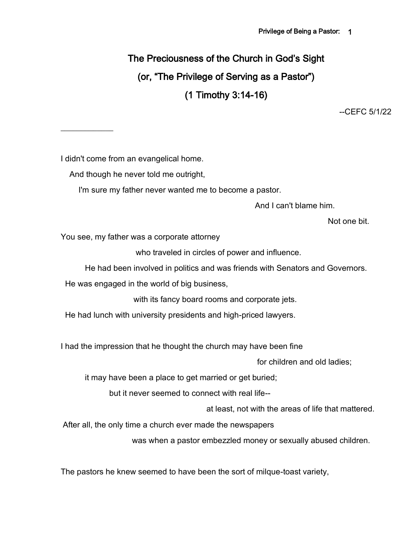# The Preciousness of the Church in God's Sight (or, "The Privilege of Serving as a Pastor") (1 Timothy 3:14-16)

--CEFC 5/1/22

I didn't come from an evangelical home.

 $\frac{1}{2}$ 

And though he never told me outright,

I'm sure my father never wanted me to become a pastor.

And I can't blame him.

Not one bit.

You see, my father was a corporate attorney

who traveled in circles of power and influence.

He had been involved in politics and was friends with Senators and Governors.

He was engaged in the world of big business,

with its fancy board rooms and corporate jets.

He had lunch with university presidents and high-priced lawyers.

I had the impression that he thought the church may have been fine

for children and old ladies;

it may have been a place to get married or get buried;

but it never seemed to connect with real life--

at least, not with the areas of life that mattered.

After all, the only time a church ever made the newspapers

was when a pastor embezzled money or sexually abused children.

The pastors he knew seemed to have been the sort of milque-toast variety,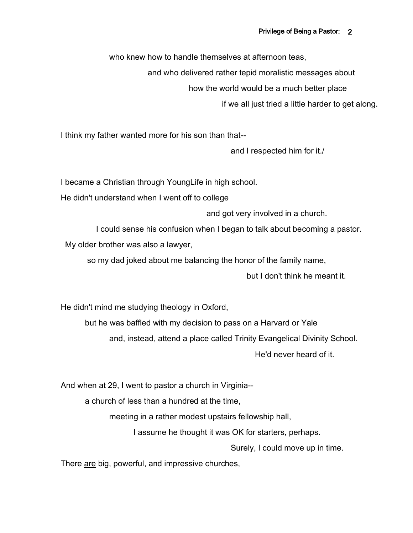who knew how to handle themselves at afternoon teas,

and who delivered rather tepid moralistic messages about

how the world would be a much better place

if we all just tried a little harder to get along.

I think my father wanted more for his son than that--

and I respected him for it./

I became a Christian through YoungLife in high school.

He didn't understand when I went off to college

and got very involved in a church.

I could sense his confusion when I began to talk about becoming a pastor.

My older brother was also a lawyer,

so my dad joked about me balancing the honor of the family name,

but I don't think he meant it.

He didn't mind me studying theology in Oxford,

but he was baffled with my decision to pass on a Harvard or Yale and, instead, attend a place called Trinity Evangelical Divinity School. He'd never heard of it.

And when at 29, I went to pastor a church in Virginia--

a church of less than a hundred at the time,

meeting in a rather modest upstairs fellowship hall,

I assume he thought it was OK for starters, perhaps.

Surely, I could move up in time.

There are big, powerful, and impressive churches,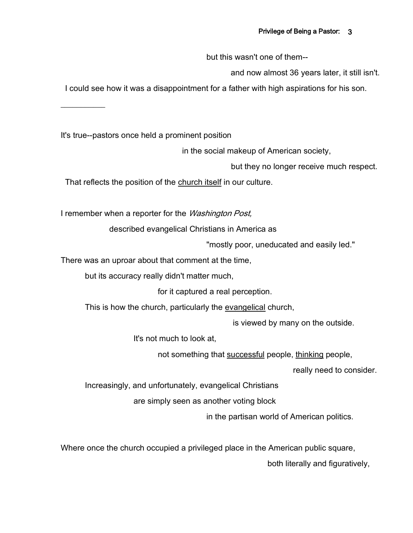but this wasn't one of them--

and now almost 36 years later, it still isn't.

I could see how it was a disappointment for a father with high aspirations for his son.

It's true--pastors once held a prominent position

 $\frac{1}{2}$ 

in the social makeup of American society,

but they no longer receive much respect.

That reflects the position of the church itself in our culture.

I remember when a reporter for the *Washington Post*,

described evangelical Christians in America as

"mostly poor, uneducated and easily led."

There was an uproar about that comment at the time,

but its accuracy really didn't matter much,

for it captured a real perception.

This is how the church, particularly the evangelical church,

is viewed by many on the outside.

It's not much to look at,

not something that successful people, thinking people,

really need to consider.

Increasingly, and unfortunately, evangelical Christians

are simply seen as another voting block

in the partisan world of American politics.

Where once the church occupied a privileged place in the American public square,

both literally and figuratively,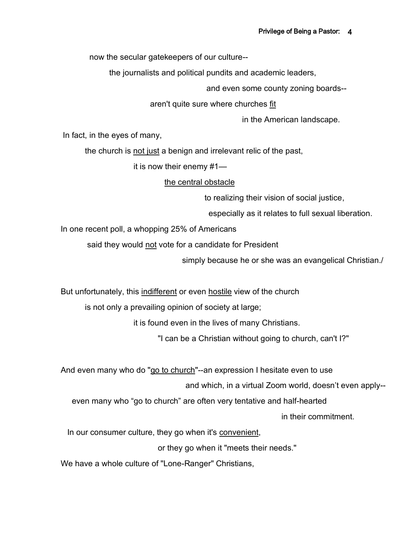now the secular gatekeepers of our culture--

the journalists and political pundits and academic leaders,

and even some county zoning boards--

aren't quite sure where churches fit

in the American landscape.

In fact, in the eyes of many,

the church is not just a benign and irrelevant relic of the past,

it is now their enemy #1—

#### the central obstacle

to realizing their vision of social justice,

especially as it relates to full sexual liberation.

In one recent poll, a whopping 25% of Americans

said they would not vote for a candidate for President

simply because he or she was an evangelical Christian./

But unfortunately, this indifferent or even hostile view of the church

is not only a prevailing opinion of society at large;

it is found even in the lives of many Christians.

"I can be a Christian without going to church, can't I?"

And even many who do "go to church"--an expression I hesitate even to use

and which, in a virtual Zoom world, doesn't even apply--

even many who "go to church" are often very tentative and half-hearted

in their commitment.

In our consumer culture, they go when it's convenient,

or they go when it "meets their needs."

We have a whole culture of "Lone-Ranger" Christians,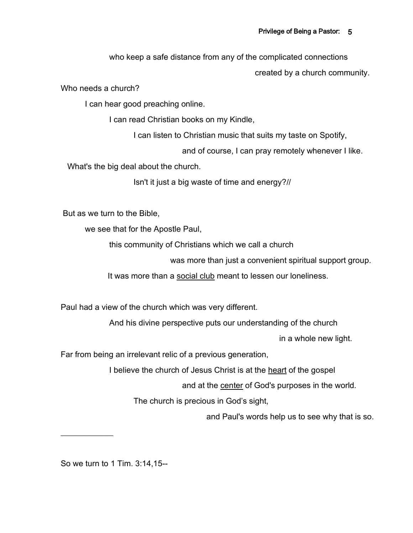who keep a safe distance from any of the complicated connections

created by a church community.

Who needs a church?

I can hear good preaching online.

I can read Christian books on my Kindle,

I can listen to Christian music that suits my taste on Spotify,

and of course, I can pray remotely whenever I like.

What's the big deal about the church.

Isn't it just a big waste of time and energy?//

But as we turn to the Bible,

we see that for the Apostle Paul,

this community of Christians which we call a church

was more than just a convenient spiritual support group.

It was more than a social club meant to lessen our loneliness.

Paul had a view of the church which was very different.

And his divine perspective puts our understanding of the church

in a whole new light.

Far from being an irrelevant relic of a previous generation,

I believe the church of Jesus Christ is at the heart of the gospel

and at the center of God's purposes in the world.

The church is precious in God's sight,

and Paul's words help us to see why that is so.

So we turn to 1 Tim. 3:14,15--

 $\frac{1}{2}$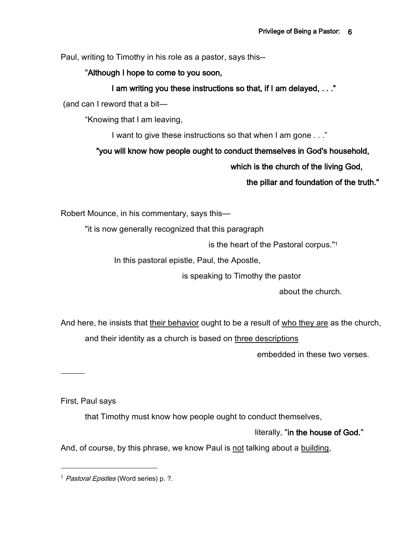Paul, writing to Timothy in his role as a pastor, says this--

"Although I hope to come to you soon,

# I am writing you these instructions so that, if I am delayed, . . ."

(and can I reword that a bit—

"Knowing that I am leaving,

I want to give these instructions so that when I am gone . . ."

# "you will know how people ought to conduct themselves in God's household,

which is the church of the living God,

the pillar and foundation of the truth."

Robert Mounce, in his commentary, says this—

"it is now generally recognized that this paragraph

is the heart of the Pastoral corpus."<sup>1</sup>

In this pastoral epistle, Paul, the Apostle,

is speaking to Timothy the pastor

about the church.

And here, he insists that their behavior ought to be a result of who they are as the church,

and their identity as a church is based on three descriptions

embedded in these two verses.

First, Paul says

 $\overline{\phantom{a}}$ 

that Timothy must know how people ought to conduct themselves,

literally, "in the house of God."

And, of course, by this phrase, we know Paul is not talking about a building,

 $<sup>1</sup>$  *Pastoral Epistles* (Word series) p. ?.</sup>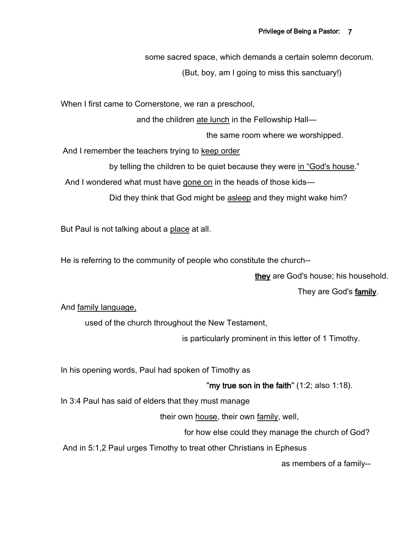some sacred space, which demands a certain solemn decorum.

(But, boy, am I going to miss this sanctuary!)

When I first came to Cornerstone, we ran a preschool,

and the children ate lunch in the Fellowship Hall—

the same room where we worshipped.

And I remember the teachers trying to keep order

by telling the children to be quiet because they were in "God's house."

And I wondered what must have gone on in the heads of those kids—

Did they think that God might be asleep and they might wake him?

But Paul is not talking about a place at all.

He is referring to the community of people who constitute the church--

they are God's house; his household.

They are God's **family**.

And family language,

used of the church throughout the New Testament,

is particularly prominent in this letter of 1 Timothy.

In his opening words, Paul had spoken of Timothy as

"my true son in the faith"  $(1:2;$  also  $1:18)$ .

In 3:4 Paul has said of elders that they must manage

their own house, their own family, well,

for how else could they manage the church of God?

And in 5:1,2 Paul urges Timothy to treat other Christians in Ephesus

as members of a family--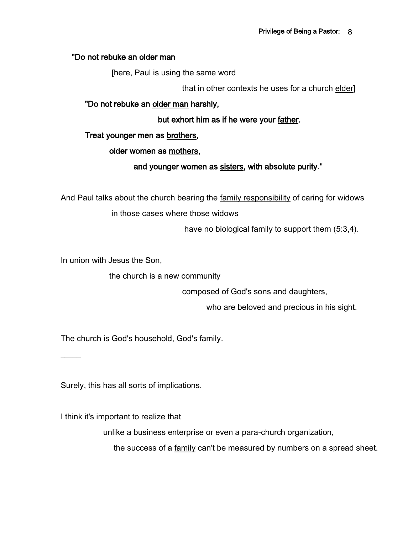#### "Do not rebuke an older man

[here, Paul is using the same word

that in other contexts he uses for a church elder]

#### "Do not rebuke an older man harshly,

but exhort him as if he were your father.

#### Treat younger men as brothers,

#### older women as mothers,

#### and younger women as sisters, with absolute purity."

And Paul talks about the church bearing the family responsibility of caring for widows

in those cases where those widows

have no biological family to support them (5:3,4).

In union with Jesus the Son,

 $\overline{\phantom{a}}$ 

the church is a new community

composed of God's sons and daughters,

who are beloved and precious in his sight.

The church is God's household, God's family.

Surely, this has all sorts of implications.

I think it's important to realize that

unlike a business enterprise or even a para-church organization,

the success of a family can't be measured by numbers on a spread sheet.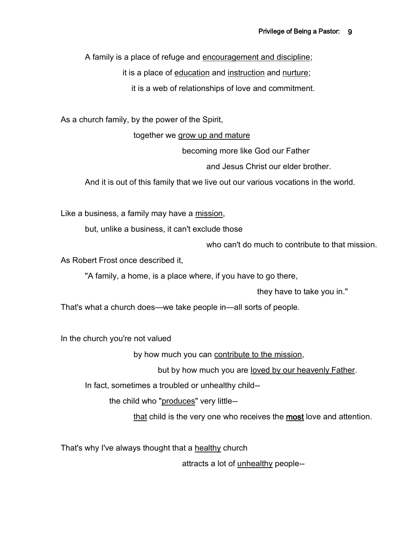A family is a place of refuge and encouragement and discipline;

it is a place of education and instruction and nurture;

it is a web of relationships of love and commitment.

As a church family, by the power of the Spirit,

together we grow up and mature

becoming more like God our Father

and Jesus Christ our elder brother.

And it is out of this family that we live out our various vocations in the world.

Like a business, a family may have a mission,

but, unlike a business, it can't exclude those

who can't do much to contribute to that mission.

As Robert Frost once described it,

"A family, a home, is a place where, if you have to go there,

they have to take you in."

That's what a church does—we take people in—all sorts of people.

In the church you're not valued

by how much you can contribute to the mission,

but by how much you are loved by our heavenly Father.

In fact, sometimes a troubled or unhealthy child--

the child who "produces" very little--

that child is the very one who receives the most love and attention.

That's why I've always thought that a healthy church

attracts a lot of unhealthy people--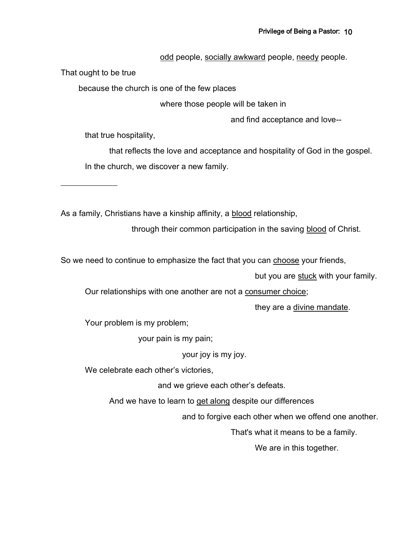odd people, socially awkward people, needy people.

That ought to be true

 $\overline{\phantom{a}}$ 

because the church is one of the few places

where those people will be taken in

and find acceptance and love--

that true hospitality,

that reflects the love and acceptance and hospitality of God in the gospel. In the church, we discover a new family.

As a family, Christians have a kinship affinity, a blood relationship,

through their common participation in the saving blood of Christ.

So we need to continue to emphasize the fact that you can choose your friends,

but you are stuck with your family.

Our relationships with one another are not a consumer choice;

they are a divine mandate.

Your problem is my problem;

your pain is my pain;

your joy is my joy.

We celebrate each other's victories,

and we grieve each other's defeats.

And we have to learn to get along despite our differences

and to forgive each other when we offend one another.

That's what it means to be a family.

We are in this together.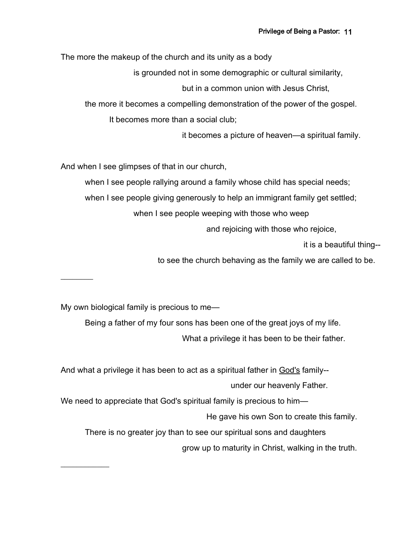The more the makeup of the church and its unity as a body

is grounded not in some demographic or cultural similarity,

but in a common union with Jesus Christ,

the more it becomes a compelling demonstration of the power of the gospel.

It becomes more than a social club;

it becomes a picture of heaven—a spiritual family.

And when I see glimpses of that in our church,

when I see people rallying around a family whose child has special needs;

when I see people giving generously to help an immigrant family get settled;

when I see people weeping with those who weep

and rejoicing with those who rejoice,

it is a beautiful thing--

to see the church behaving as the family we are called to be.

My own biological family is precious to me—

 $\overline{\phantom{a}}$ 

 $\frac{1}{2}$ 

Being a father of my four sons has been one of the great joys of my life.

What a privilege it has been to be their father.

And what a privilege it has been to act as a spiritual father in God's family- under our heavenly Father.

We need to appreciate that God's spiritual family is precious to him-

He gave his own Son to create this family.

There is no greater joy than to see our spiritual sons and daughters

grow up to maturity in Christ, walking in the truth.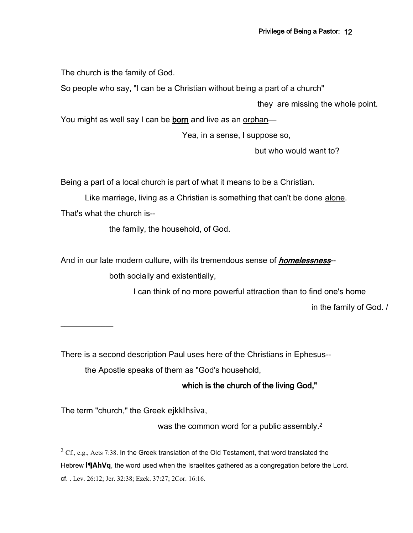The church is the family of God.

So people who say, "I can be a Christian without being a part of a church"

they are missing the whole point.

You might as well say I can be born and live as an orphan-

Yea, in a sense, I suppose so,

but who would want to?

Being a part of a local church is part of what it means to be a Christian.

Like marriage, living as a Christian is something that can't be done alone.

That's what the church is--

the family, the household, of God.

And in our late modern culture, with its tremendous sense of *homelessness*--

both socially and existentially,

I can think of no more powerful attraction than to find one's home

in the family of God. /

 $\frac{1}{2}$ 

There is a second description Paul uses here of the Christians in Ephesus--

the Apostle speaks of them as "God's household,

# which is the church of the living God,"

The term "church," the Greek ejkklhsiva,

was the common word for a public assembly.<sup>2</sup>

 $2 \text{ Cf.}, \text{e.g.,}$  Acts 7:38. In the Greek translation of the Old Testament, that word translated the Hebrew **I¶AhVq**, the word used when the Israelites gathered as a congregation before the Lord. cf. . Lev. 26:12; Jer. 32:38; Ezek. 37:27; 2Cor. 16:16.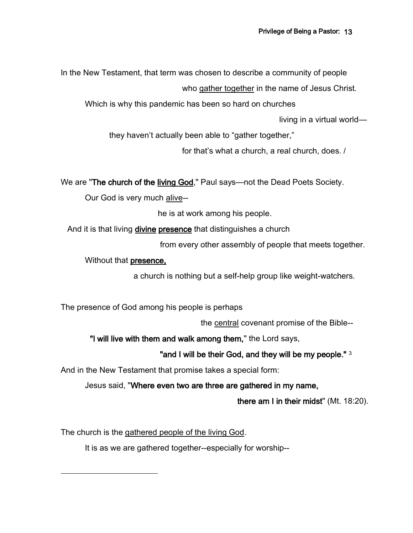In the New Testament, that term was chosen to describe a community of people

who gather together in the name of Jesus Christ.

Which is why this pandemic has been so hard on churches

living in a virtual world—

they haven't actually been able to "gather together,"

for that's what a church, a real church, does. /

We are "The church of the living God," Paul says—not the Dead Poets Society.

Our God is very much alive--

he is at work among his people.

And it is that living divine presence that distinguishes a church

from every other assembly of people that meets together.

Without that presence,

a church is nothing but a self-help group like weight-watchers.

The presence of God among his people is perhaps

the central covenant promise of the Bible--

"I will live with them and walk among them," the Lord says,

"and I will be their God, and they will be my people." 3

And in the New Testament that promise takes a special form:

Jesus said, "Where even two are three are gathered in my name,

there am I in their midst" (Mt. 18:20).

The church is the gathered people of the living God.

It is as we are gathered together--especially for worship--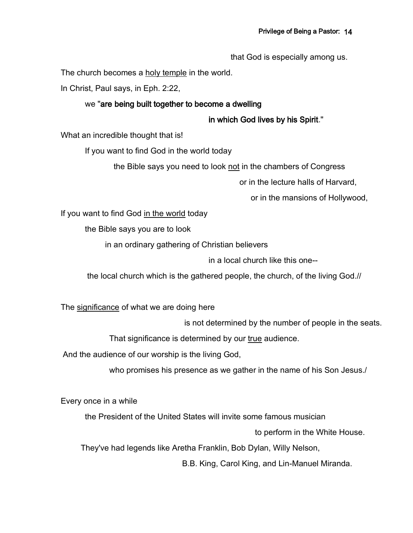that God is especially among us.

The church becomes a holy temple in the world.

In Christ, Paul says, in Eph. 2:22,

#### we "are being built together to become a dwelling

in which God lives by his Spirit."

What an incredible thought that is!

If you want to find God in the world today

the Bible says you need to look not in the chambers of Congress

or in the lecture halls of Harvard,

or in the mansions of Hollywood,

If you want to find God in the world today

the Bible says you are to look

in an ordinary gathering of Christian believers

in a local church like this one--

the local church which is the gathered people, the church, of the living God.//

The significance of what we are doing here

is not determined by the number of people in the seats.

That significance is determined by our true audience.

And the audience of our worship is the living God,

who promises his presence as we gather in the name of his Son Jesus./

Every once in a while

the President of the United States will invite some famous musician

to perform in the White House.

They've had legends like Aretha Franklin, Bob Dylan, Willy Nelson,

B.B. King, Carol King, and Lin-Manuel Miranda.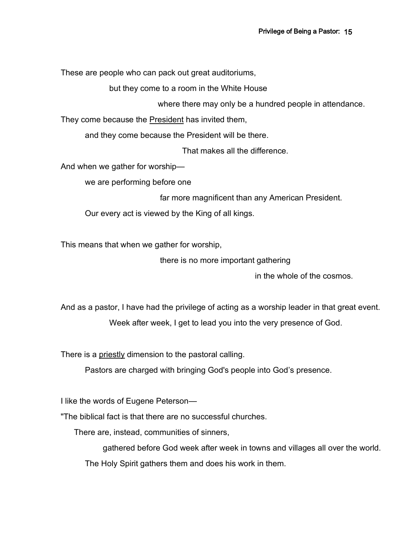These are people who can pack out great auditoriums,

but they come to a room in the White House

where there may only be a hundred people in attendance.

They come because the President has invited them,

and they come because the President will be there.

That makes all the difference.

And when we gather for worship—

we are performing before one

far more magnificent than any American President.

Our every act is viewed by the King of all kings.

This means that when we gather for worship,

there is no more important gathering

in the whole of the cosmos.

And as a pastor, I have had the privilege of acting as a worship leader in that great event.

Week after week, I get to lead you into the very presence of God.

There is a *priestly* dimension to the pastoral calling.

Pastors are charged with bringing God's people into God's presence.

I like the words of Eugene Peterson—

"The biblical fact is that there are no successful churches.

There are, instead, communities of sinners,

gathered before God week after week in towns and villages all over the world.

The Holy Spirit gathers them and does his work in them.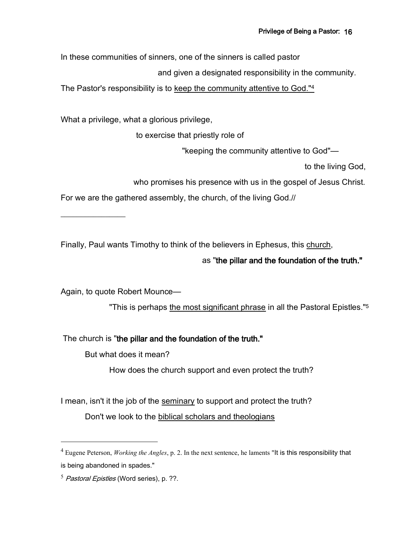In these communities of sinners, one of the sinners is called pastor

and given a designated responsibility in the community.

The Pastor's responsibility is to keep the community attentive to God."<sup>4</sup>

What a privilege, what a glorious privilege,

to exercise that priestly role of

"keeping the community attentive to God"—

to the living God,

who promises his presence with us in the gospel of Jesus Christ.

For we are the gathered assembly, the church, of the living God.//

Finally, Paul wants Timothy to think of the believers in Ephesus, this church,

## as "the pillar and the foundation of the truth."

Again, to quote Robert Mounce—

 $\frac{1}{2}$  , where  $\frac{1}{2}$ 

"This is perhaps the most significant phrase in all the Pastoral Epistles."<sup>5</sup>

The church is "the pillar and the foundation of the truth."

But what does it mean?

How does the church support and even protect the truth?

I mean, isn't it the job of the seminary to support and protect the truth? Don't we look to the biblical scholars and theologians

<sup>4</sup> Eugene Peterson, *Working the Angles*, p. 2. In the next sentence, he laments "It is this responsibility that is being abandoned in spades."

 $<sup>5</sup>$  Pastoral Epistles (Word series), p. ??.</sup>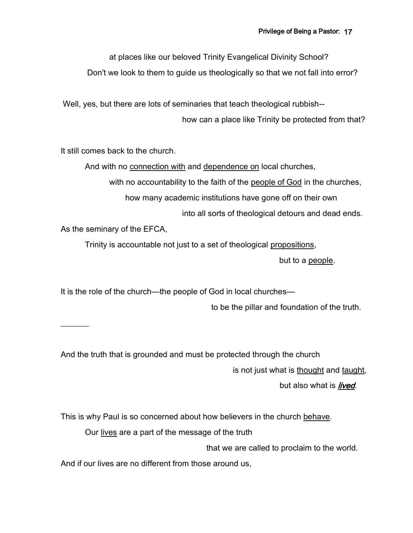at places like our beloved Trinity Evangelical Divinity School?

Don't we look to them to guide us theologically so that we not fall into error?

Well, yes, but there are lots of seminaries that teach theological rubbish--

how can a place like Trinity be protected from that?

It still comes back to the church.

And with no connection with and dependence on local churches,

with no accountability to the faith of the people of God in the churches,

how many academic institutions have gone off on their own

into all sorts of theological detours and dead ends.

As the seminary of the EFCA,

 $\overline{\phantom{a}}$ 

Trinity is accountable not just to a set of theological propositions,

but to a people.

It is the role of the church—the people of God in local churches—

to be the pillar and foundation of the truth.

And the truth that is grounded and must be protected through the church

is not just what is thought and taught,

but also what is *lived*.

This is why Paul is so concerned about how believers in the church behave.

Our lives are a part of the message of the truth

that we are called to proclaim to the world.

And if our lives are no different from those around us,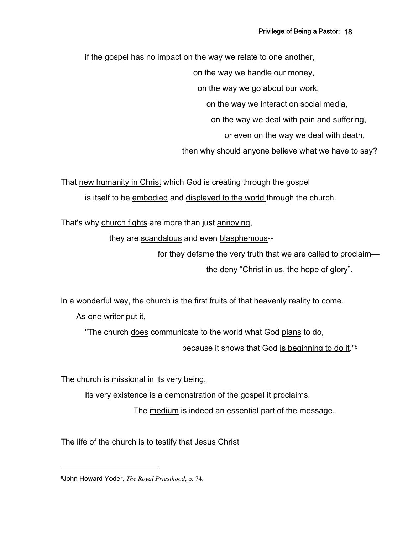if the gospel has no impact on the way we relate to one another,

on the way we handle our money,

on the way we go about our work,

on the way we interact on social media,

on the way we deal with pain and suffering,

or even on the way we deal with death,

then why should anyone believe what we have to say?

That new humanity in Christ which God is creating through the gospel is itself to be embodied and displayed to the world through the church.

That's why church fights are more than just annoying,

they are scandalous and even blasphemous--

for they defame the very truth that we are called to proclaim the deny "Christ in us, the hope of glory".

In a wonderful way, the church is the first fruits of that heavenly reality to come.

As one writer put it,

"The church does communicate to the world what God plans to do,

because it shows that God is beginning to do it."<sup>6</sup>

The church is missional in its very being.

Its very existence is a demonstration of the gospel it proclaims.

The medium is indeed an essential part of the message.

The life of the church is to testify that Jesus Christ

<sup>6</sup>John Howard Yoder, *The Royal Priesthood*, p. 74.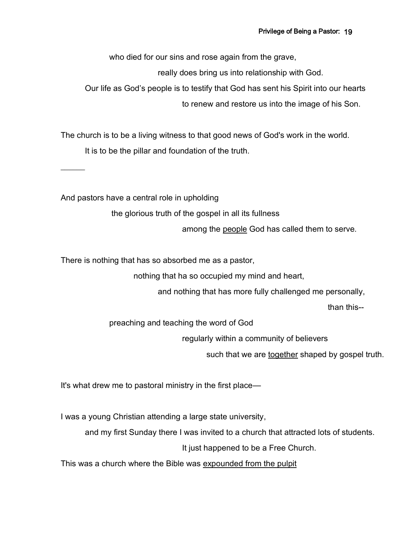who died for our sins and rose again from the grave,

really does bring us into relationship with God.

Our life as God's people is to testify that God has sent his Spirit into our hearts to renew and restore us into the image of his Son.

The church is to be a living witness to that good news of God's work in the world. It is to be the pillar and foundation of the truth.

And pastors have a central role in upholding

 $\overline{\phantom{a}}$ 

the glorious truth of the gospel in all its fullness

among the people God has called them to serve.

There is nothing that has so absorbed me as a pastor,

nothing that ha so occupied my mind and heart,

and nothing that has more fully challenged me personally,

than this--

preaching and teaching the word of God

regularly within a community of believers

such that we are together shaped by gospel truth.

It's what drew me to pastoral ministry in the first place—

I was a young Christian attending a large state university,

and my first Sunday there I was invited to a church that attracted lots of students.

It just happened to be a Free Church.

This was a church where the Bible was expounded from the pulpit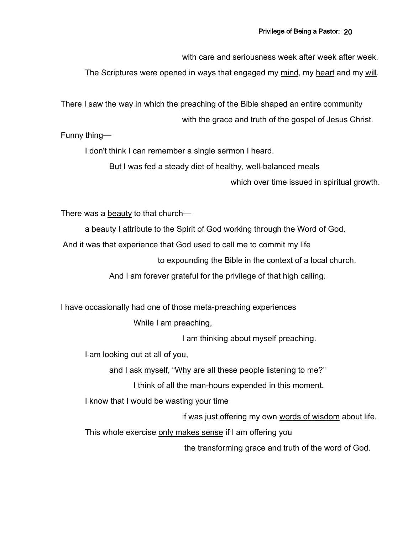with care and seriousness week after week after week

The Scriptures were opened in ways that engaged my mind, my heart and my will.

There I saw the way in which the preaching of the Bible shaped an entire community with the grace and truth of the gospel of Jesus Christ.

Funny thing—

I don't think I can remember a single sermon I heard.

But I was fed a steady diet of healthy, well-balanced meals

which over time issued in spiritual growth.

There was a beauty to that church—

a beauty I attribute to the Spirit of God working through the Word of God.

And it was that experience that God used to call me to commit my life

to expounding the Bible in the context of a local church.

And I am forever grateful for the privilege of that high calling.

I have occasionally had one of those meta-preaching experiences

While I am preaching,

I am thinking about myself preaching.

I am looking out at all of you,

and I ask myself, "Why are all these people listening to me?"

I think of all the man-hours expended in this moment.

I know that I would be wasting your time

if was just offering my own words of wisdom about life.

This whole exercise only makes sense if I am offering you

the transforming grace and truth of the word of God.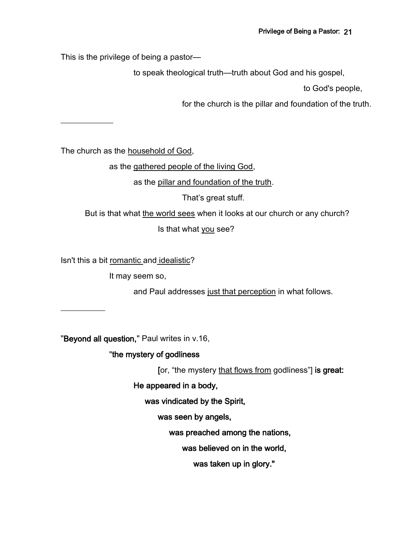This is the privilege of being a pastor—

to speak theological truth—truth about God and his gospel,

to God's people,

for the church is the pillar and foundation of the truth.

The church as the household of God,

as the gathered people of the living God,

as the pillar and foundation of the truth.

That's great stuff.

But is that what the world sees when it looks at our church or any church?

Is that what you see?

Isn't this a bit romantic and idealistic?

It may seem so,

and Paul addresses just that perception in what follows.

 $\frac{1}{2}$ 

 $\frac{1}{2}$ 

"Beyond all question," Paul writes in v.16,

# "the mystery of godliness

[or, "the mystery that flows from godliness"] is great:

He appeared in a body,

was vindicated by the Spirit,

was seen by angels,

was preached among the nations,

was believed on in the world,

was taken up in glory."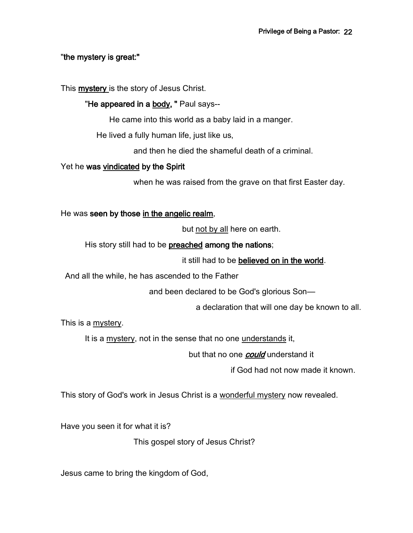### "the mystery is great:"

This **mystery** is the story of Jesus Christ.

## "He appeared in a body, " Paul says--

He came into this world as a baby laid in a manger.

He lived a fully human life, just like us,

and then he died the shameful death of a criminal.

### Yet he was vindicated by the Spirit

when he was raised from the grave on that first Easter day.

He was seen by those in the angelic realm,

but not by all here on earth.

His story still had to be preached among the nations;

it still had to be believed on in the world.

And all the while, he has ascended to the Father

and been declared to be God's glorious Son—

a declaration that will one day be known to all.

This is a mystery.

It is a mystery, not in the sense that no one understands it,

but that no one **could** understand it

if God had not now made it known.

This story of God's work in Jesus Christ is a wonderful mystery now revealed.

Have you seen it for what it is?

This gospel story of Jesus Christ?

Jesus came to bring the kingdom of God,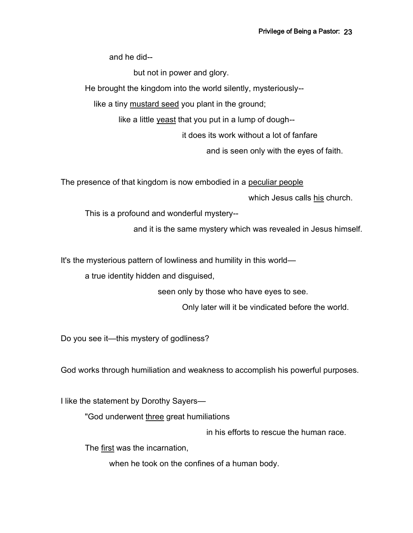and he did--

but not in power and glory.

He brought the kingdom into the world silently, mysteriously--

like a tiny mustard seed you plant in the ground;

like a little yeast that you put in a lump of dough--

it does its work without a lot of fanfare

and is seen only with the eyes of faith.

The presence of that kingdom is now embodied in a peculiar people

which Jesus calls his church.

This is a profound and wonderful mystery--

and it is the same mystery which was revealed in Jesus himself.

It's the mysterious pattern of lowliness and humility in this world—

a true identity hidden and disguised,

seen only by those who have eyes to see.

Only later will it be vindicated before the world.

Do you see it—this mystery of godliness?

God works through humiliation and weakness to accomplish his powerful purposes.

I like the statement by Dorothy Sayers—

"God underwent three great humiliations

in his efforts to rescue the human race.

The first was the incarnation,

when he took on the confines of a human body.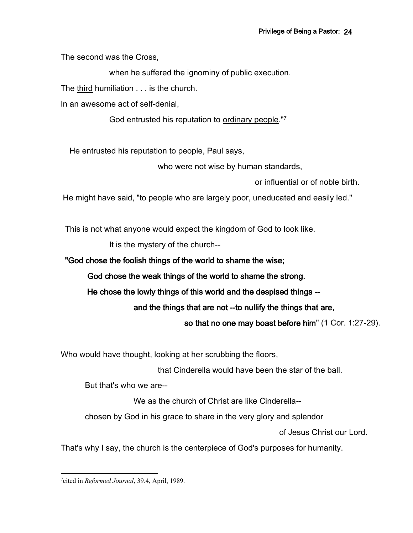The second was the Cross,

when he suffered the ignominy of public execution.

The third humiliation . . . is the church.

In an awesome act of self-denial,

God entrusted his reputation to ordinary people."<sup>7</sup>

He entrusted his reputation to people, Paul says,

who were not wise by human standards,

or influential or of noble birth.

He might have said, "to people who are largely poor, uneducated and easily led."

This is not what anyone would expect the kingdom of God to look like.

It is the mystery of the church--

"God chose the foolish things of the world to shame the wise;

God chose the weak things of the world to shame the strong.

He chose the lowly things of this world and the despised things --

and the things that are not --to nullify the things that are,

so that no one may boast before him" (1 Cor. 1:27-29).

Who would have thought, looking at her scrubbing the floors,

that Cinderella would have been the star of the ball.

But that's who we are--

We as the church of Christ are like Cinderella--

chosen by God in his grace to share in the very glory and splendor

of Jesus Christ our Lord.

That's why I say, the church is the centerpiece of God's purposes for humanity.

<sup>7</sup> cited in *Reformed Journal*, 39.4, April, 1989.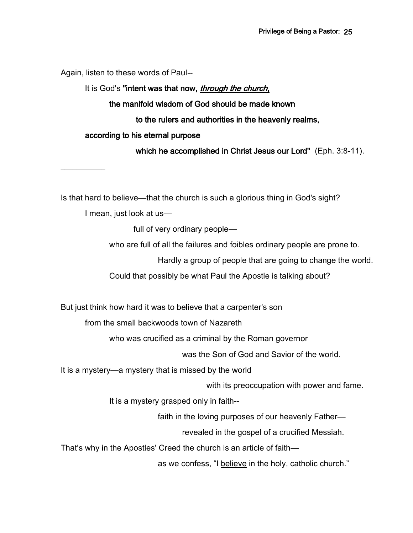Again, listen to these words of Paul--

# It is God's "intent was that now, *through the church*, the manifold wisdom of God should be made known to the rulers and authorities in the heavenly realms, according to his eternal purpose which he accomplished in Christ Jesus our Lord" (Eph. 3:8-11).

Is that hard to believe—that the church is such a glorious thing in God's sight?

I mean, just look at us—

 $\frac{1}{2}$ 

full of very ordinary people—

who are full of all the failures and foibles ordinary people are prone to.

Hardly a group of people that are going to change the world.

Could that possibly be what Paul the Apostle is talking about?

But just think how hard it was to believe that a carpenter's son

from the small backwoods town of Nazareth

who was crucified as a criminal by the Roman governor

was the Son of God and Savior of the world.

It is a mystery—a mystery that is missed by the world

with its preoccupation with power and fame.

It is a mystery grasped only in faith--

faith in the loving purposes of our heavenly Father—

revealed in the gospel of a crucified Messiah.

That's why in the Apostles' Creed the church is an article of faith—

as we confess, "I believe in the holy, catholic church."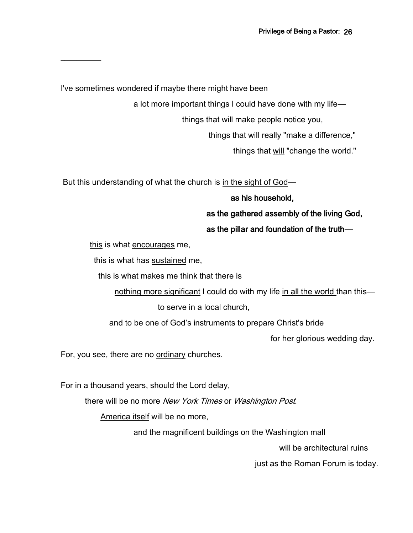I've sometimes wondered if maybe there might have been

 $\frac{1}{2}$ 

a lot more important things I could have done with my life—

things that will make people notice you,

things that will really "make a difference,"

things that will "change the world."

But this understanding of what the church is in the sight of God—

# as his household,

as the gathered assembly of the living God,

# as the pillar and foundation of the truth—

this is what encourages me,

this is what has sustained me,

this is what makes me think that there is

nothing more significant I could do with my life in all the world than this—

to serve in a local church,

and to be one of God's instruments to prepare Christ's bride

for her glorious wedding day.

For, you see, there are no ordinary churches.

For in a thousand years, should the Lord delay,

there will be no more New York Times or Washington Post.

America itself will be no more,

and the magnificent buildings on the Washington mall

will be architectural ruins

just as the Roman Forum is today.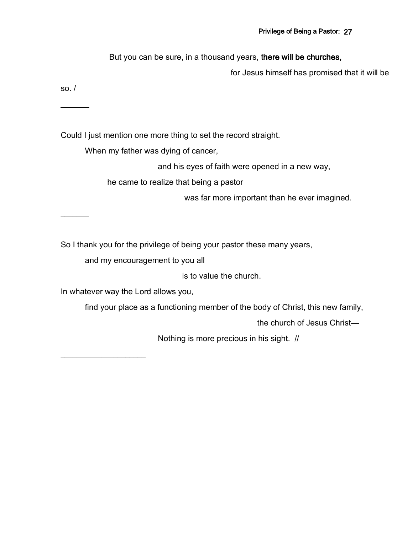But you can be sure, in a thousand years, there will be churches,

for Jesus himself has promised that it will be

so. /

 $\overline{\phantom{a}}$ 

 $\overline{\phantom{a}}$ 

Could I just mention one more thing to set the record straight.

When my father was dying of cancer,

and his eyes of faith were opened in a new way,

he came to realize that being a pastor

was far more important than he ever imagined.

So I thank you for the privilege of being your pastor these many years,

and my encouragement to you all

is to value the church.

In whatever way the Lord allows you,

find your place as a functioning member of the body of Christ, this new family,

the church of Jesus Christ—

Nothing is more precious in his sight. //

 $\overline{\phantom{a}}$  , where  $\overline{\phantom{a}}$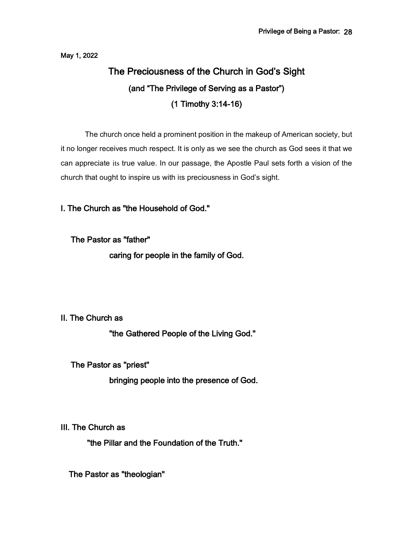May 1, 2022

# The Preciousness of the Church in God's Sight (and "The Privilege of Serving as a Pastor") (1 Timothy 3:14-16)

The church once held a prominent position in the makeup of American society, but it no longer receives much respect. It is only as we see the church as God sees it that we can appreciate its true value. In our passage, the Apostle Paul sets forth a vision of the church that ought to inspire us with its preciousness in God's sight.

# I. The Church as "the Household of God."

The Pastor as "father"

caring for people in the family of God.

### II. The Church as

"the Gathered People of the Living God."

The Pastor as "priest"

bringing people into the presence of God.

III. The Church as

"the Pillar and the Foundation of the Truth."

The Pastor as "theologian"